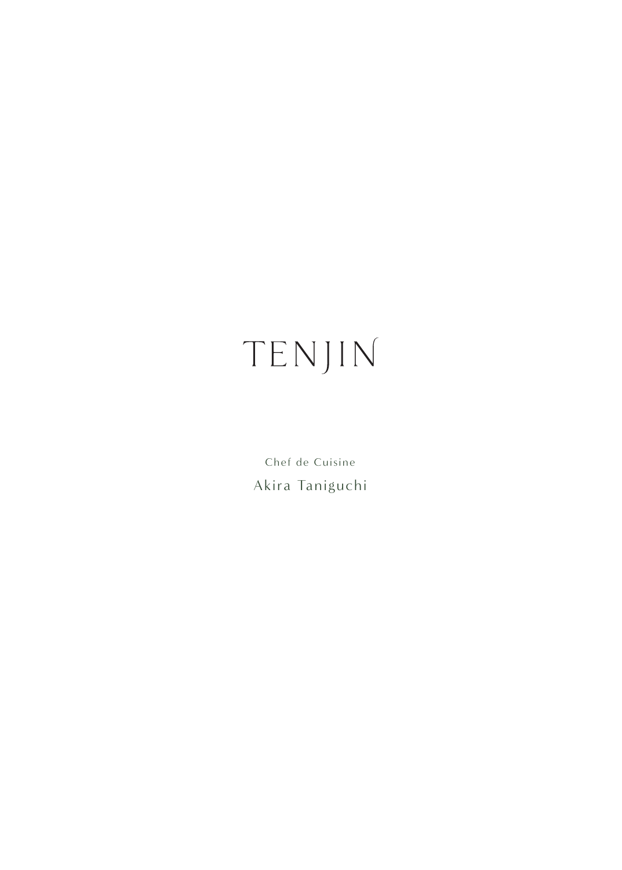# TENJIN

Chef de Cuisine Akira Taniguchi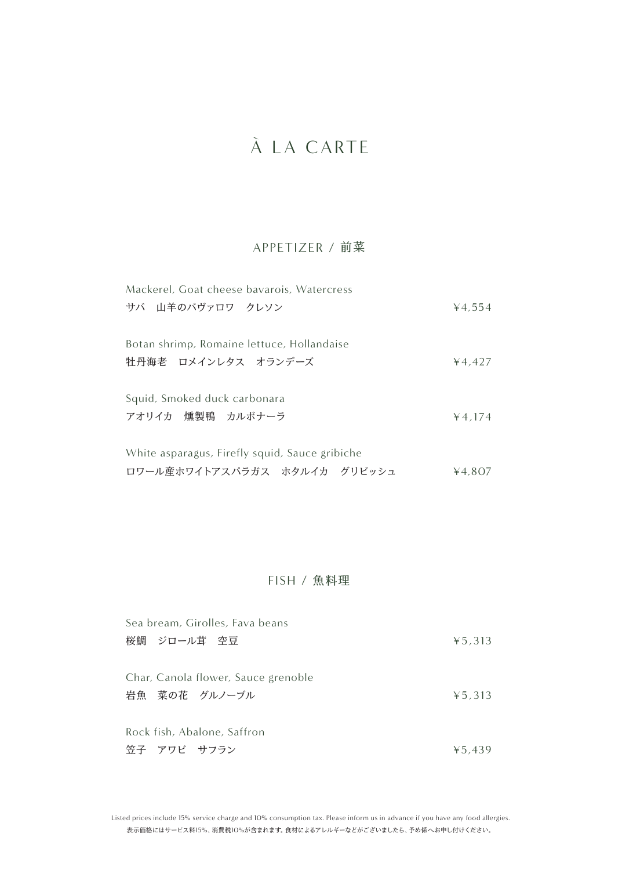# À LA CARTE

## APPETIZER / 前菜

| Mackerel, Goat cheese bavarois, Watercress     |        |
|------------------------------------------------|--------|
| サバ 山羊のバヴァロワ クレソン                               | ¥4.554 |
| Botan shrimp, Romaine lettuce, Hollandaise     |        |
| 牡丹海老 ロメインレタス オランデーズ                            | 44.427 |
| Squid, Smoked duck carbonara                   |        |
| アオリイカ 燻製鴨 カルボナーラ                               | 44.174 |
| White asparagus, Firefly squid, Sauce gribiche |        |
| ロワール産ホワイトアスパラガス ホタルイカ グリビッシュ                   | 4.807  |

## FISH / 魚料理

| Sea bream, Girolles, Fava beans     |        |
|-------------------------------------|--------|
| 桜鯛 ジロール茸 空豆                         | 45.313 |
|                                     |        |
| Char, Canola flower, Sauce grenoble |        |
| 岩魚 菜の花 グルノーブル                       | 45.313 |
|                                     |        |
| Rock fish, Abalone, Saffron         |        |
| 笠子 アワビ サフラン                         | 45.439 |

表示価格にはサービス料15%、消費税10%が含まれます。食材によるアレルギーなどがございましたら、予め係へお申し付けください。 Listed prices include 15% service charge and 10% consumption tax. Please inform us in advance if you have any food allergies.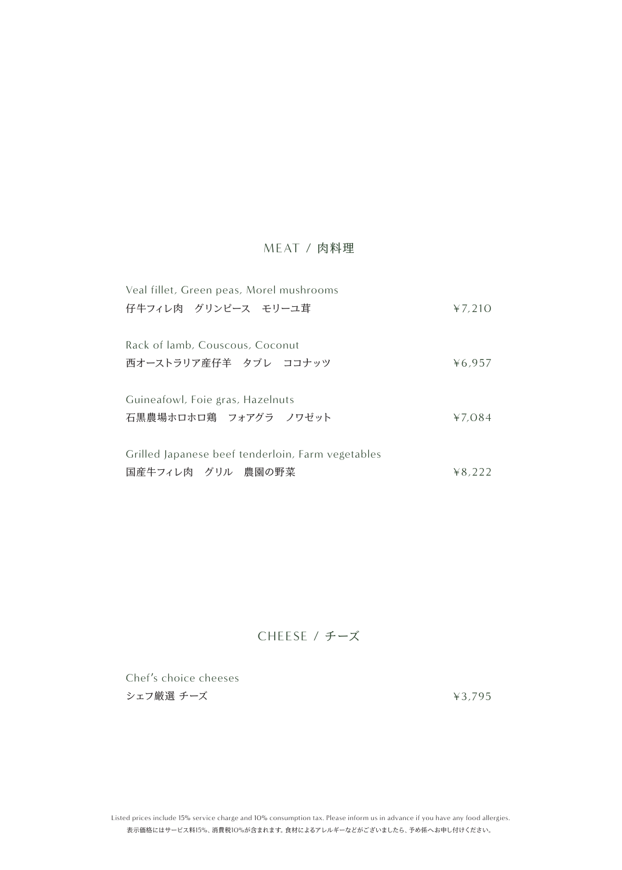## MEAT / 肉料理

| Veal fillet, Green peas, Morel mushrooms          |        |
|---------------------------------------------------|--------|
| 仔牛フィレ肉 グリンピース モリーユ茸                               | 47.210 |
| Rack of lamb, Couscous, Coconut                   |        |
| 西オーストラリア産仔羊 タブレ ココナッツ                             | 46.957 |
| Guineafowl, Foie gras, Hazelnuts                  |        |
| 石黒農場ホロホロ鶏 フォアグラ ノワゼット                             | 47.084 |
| Grilled Japanese beef tenderloin, Farm vegetables |        |
| 国産牛フィレ肉 グリル 農園の野菜                                 | 48.222 |

## CHEESE / チーズ

Chef's choice cheeses シェフ厳選 チーズ

¥3,795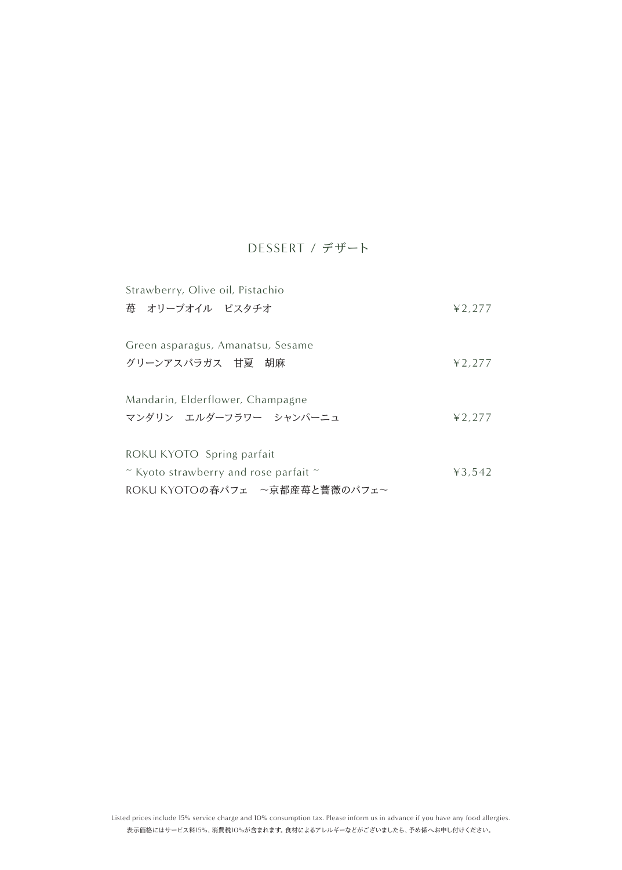## DESSERT / デザート

| Strawberry, Olive oil, Pistachio                                              |        |
|-------------------------------------------------------------------------------|--------|
| 苺 オリーブオイル ピスタチオ                                                               | 42,277 |
| Green asparagus, Amanatsu, Sesame                                             |        |
| グリーンアスパラガス 甘夏 胡麻                                                              | 42,277 |
| Mandarin, Elderflower, Champagne                                              |        |
| マンダリン エルダーフラワー シャンパーニュ                                                        | 42.277 |
| ROKU KYOTO Spring parfait                                                     |        |
| $\tilde{\phantom{a}}$ Kyoto strawberry and rose parfait $\tilde{\phantom{a}}$ | 43.542 |
| ROKU KYOTOの春パフェ ~京都産苺と薔薇のパフェ~                                                 |        |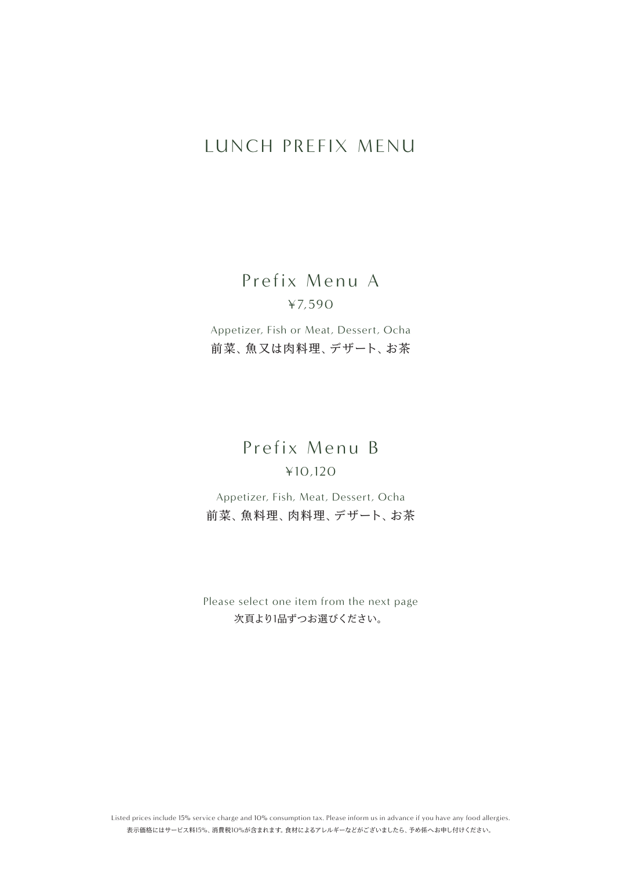## LUNCH PREFIX MENU

Prefix Menu A ¥7,590

Appetizer, Fish or Meat, Dessert, Ocha 前菜、魚又は肉料理、デザート、お茶

## Prefix Menu B ¥10,120

Appetizer, Fish, Meat, Dessert, Ocha 前菜、魚料理、肉料理、デザート、お茶

Please select one item from the next page 次頁より1品ずつお選びください。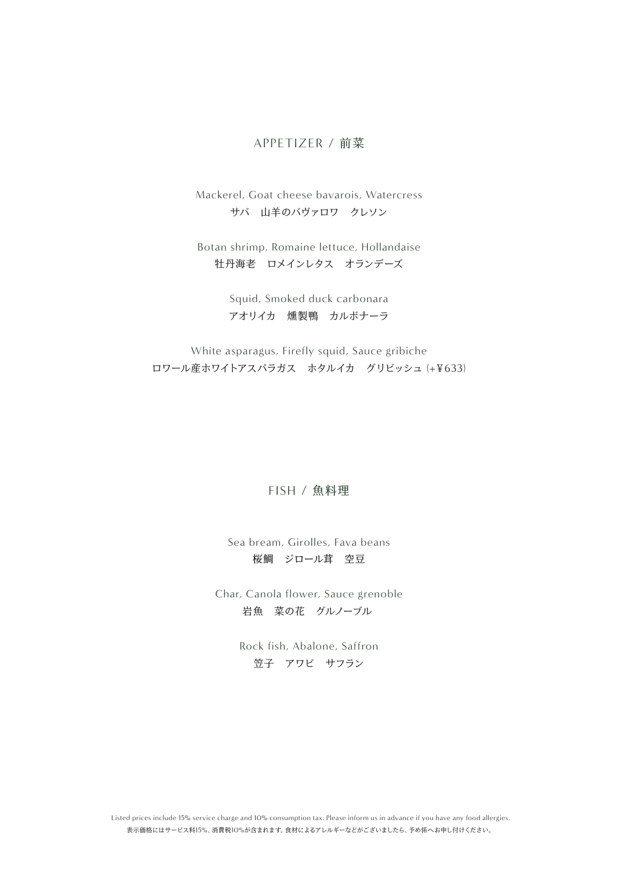#### APPETIZER / 前菜

Mackerel, Goat cheese bavarois, Watercress サバ 山羊のバヴァロワ クレソン

Botan shrimp, Romaine lettuce, Hollandaise 牡丹海老 ロメインレタス オランデーズ

> Squid, Smoked duck carbonara アオリイカ 燻製鴨 カルボナーラ

White asparagus, Firefly squid, Sauce gribiche ロワール産ホワイトアスパラガス ホタルイカ グリビッシュ (+¥633)

#### FISH / 魚料理

Sea bream, Girolles, Fava beans 桜鯛 ジロール茸 空豆

Char, Canola flower, Sauce grenoble 岩魚 菜の花 グルノーブル

> Rock fish, Abalone, Saffron 笠子 アワビ サフラン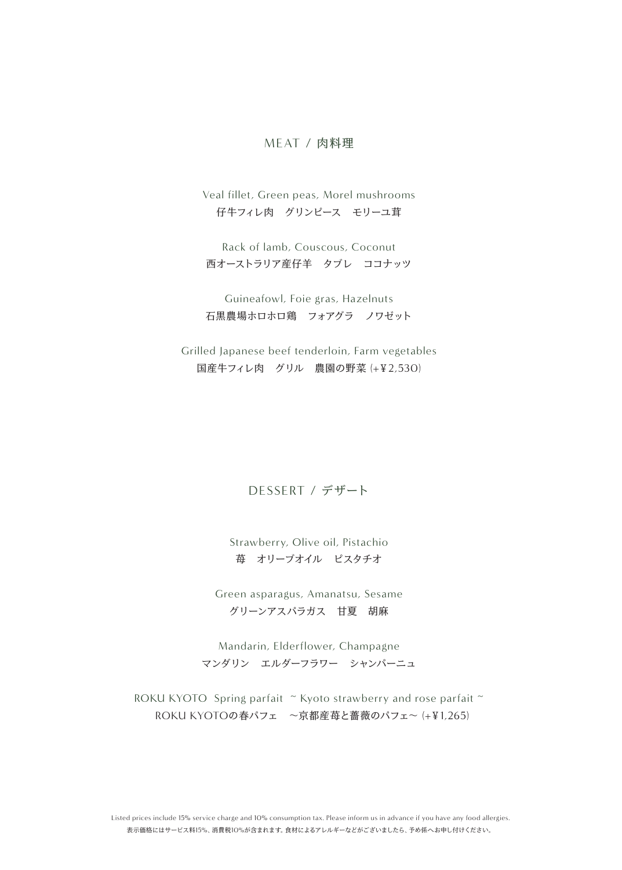#### MEAT / 肉料理

Veal fillet, Green peas, Morel mushrooms 仔牛フィレ肉 グリンピース モリーユ茸

Rack of lamb, Couscous, Coconut 西オーストラリア産仔羊 タブレ ココナッツ

Guineafowl, Foie gras, Hazelnuts 石黒農場ホロホロ鶏 フォアグラ ノワゼット

Grilled Japanese beef tenderloin, Farm vegetables 国産牛フィレ肉 グリル 農園の野菜 (+¥2,530)

### DESSERT / デザート

Strawberry, Olive oil, Pistachio 苺 オリーブオイル ピスタチオ

Green asparagus, Amanatsu, Sesame グリーンアスパラガス 甘夏 胡麻

Mandarin, Elderflower, Champagne マンダリン エルダーフラワー シャンパーニュ

ROKU KYOTO Spring parfait ~ Kyoto strawberry and rose parfait ~ ROKU KYOTOの春パフェ ~京都産苺と薔薇のパフェ~ (+¥1,265)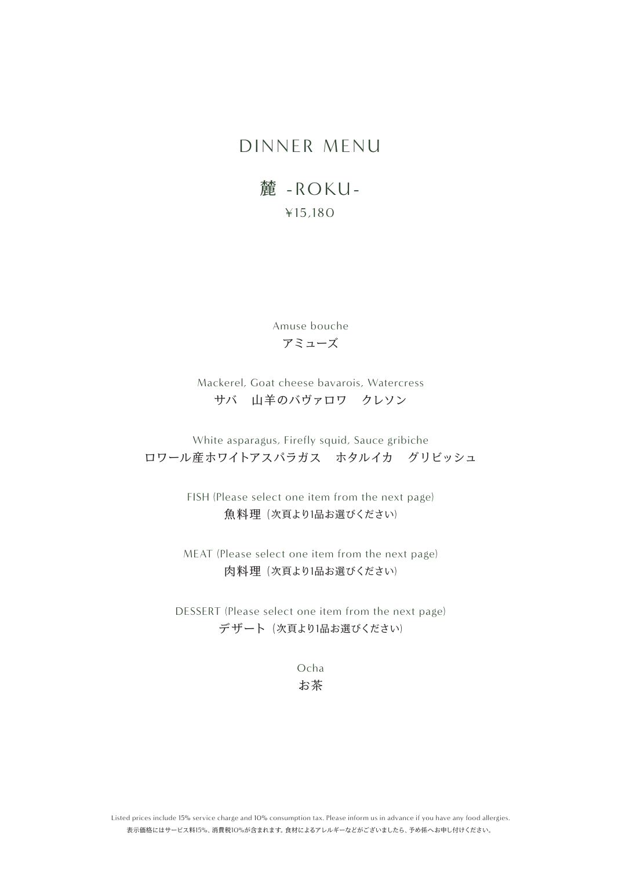## DINNER MENU

## 麓 -ROKU- ¥15,180

Amuse bouche アミューズ

## Mackerel, Goat cheese bavarois, Watercress サバ 山羊のバヴァロワ クレソン

White asparagus, Firefly squid, Sauce gribiche ロワール産ホワイトアスパラガス ホタルイカ グリビッシュ

> FISH (Please select one item from the next page) 魚料理 (次頁より1品お選びください)

MEAT (Please select one item from the next page) 肉料理 (次頁より1品お選びください)

DESSERT (Please select one item from the next page) デザート (次頁より1品お選びください)

> Ocha お茶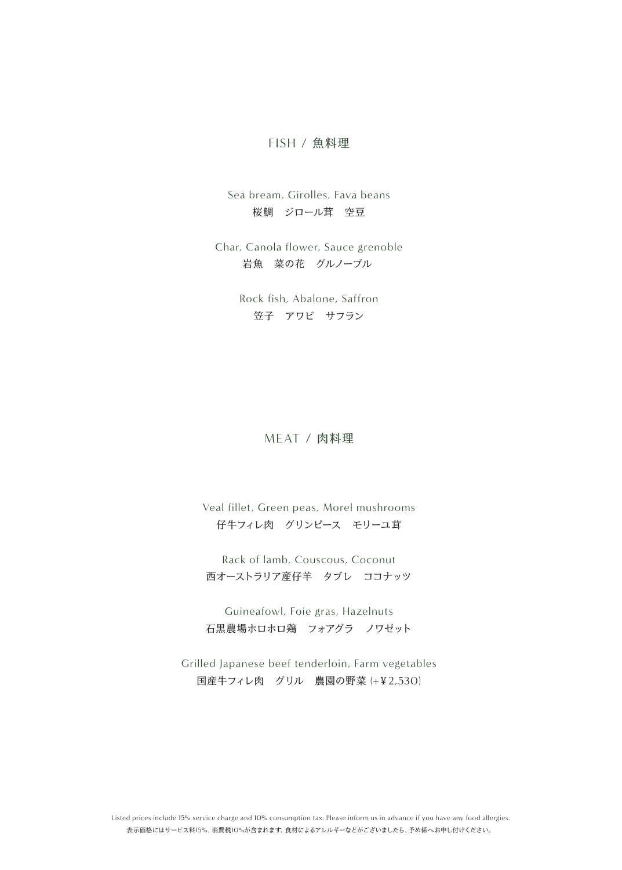#### FISH / 魚料理

Sea bream, Girolles, Fava beans 桜鯛 ジロール茸 空豆

Char, Canola flower, Sauce grenoble 岩魚 菜の花 グルノーブル

> Rock fish, Abalone, Saffron 笠子 アワビ サフラン

#### MEAT / 肉料理

Veal fillet, Green peas, Morel mushrooms 仔牛フィレ肉 グリンピース モリーユ茸

Rack of lamb, Couscous, Coconut 西オーストラリア産仔羊 タブレ ココナッツ

Guineafowl, Foie gras, Hazelnuts 石黒農場ホロホロ鶏 フォアグラ ノワゼット

Grilled Japanese beef tenderloin, Farm vegetables 国産牛フィレ肉 グリル 農園の野菜 (+¥2,530)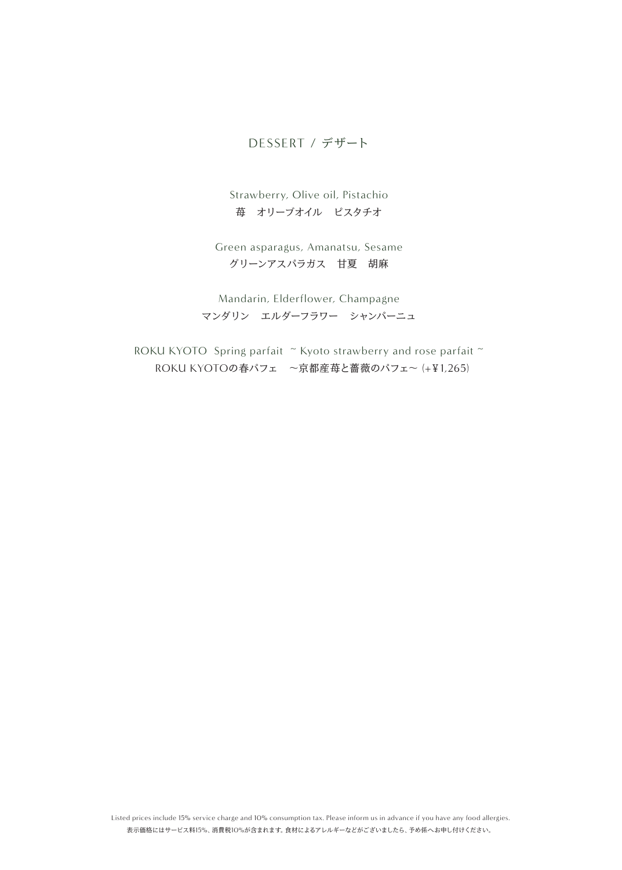## DESSERT / デザート

Strawberry, Olive oil, Pistachio 苺 オリーブオイル ピスタチオ

Green asparagus, Amanatsu, Sesame グリーンアスパラガス 甘夏 胡麻

Mandarin, Elderflower, Champagne マンダリン エルダーフラワー シャンパーニュ

ROKU KYOTO Spring parfait ~ Kyoto strawberry and rose parfait ~ ROKU KYOTOの春パフェ ~京都産苺と薔薇のパフェ~ (+¥1,265)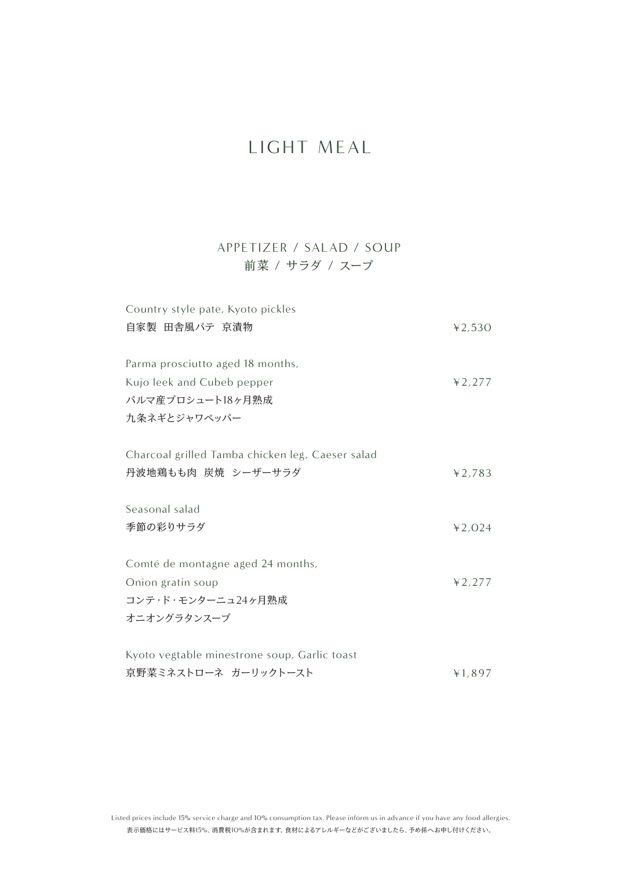## LIGHT MEAL

## APPETIZER / SALAD / SOUP 前菜 / サラダ / スープ

| Country style pate, Kyoto pickles                |        |
|--------------------------------------------------|--------|
| 自家製 田舎風パテ 京漬物                                    | 42,530 |
|                                                  |        |
| Parma prosciutto aged 18 months,                 |        |
| Kujo leek and Cubeb pepper                       | 42,277 |
| パルマ産プロシュート18ヶ月熟成                                 |        |
| 九条ネギとジャワペッパー                                     |        |
|                                                  |        |
| Charcoal grilled Tamba chicken leg, Caeser salad |        |
| 丹波地鶏もも肉 炭焼 シーザーサラダ                               | 42,783 |
|                                                  |        |
| Seasonal salad                                   |        |
| 季節の彩りサラダ                                         | 42,024 |
|                                                  |        |
| Comté de montagne aged 24 months,                |        |
| Onion gratin soup                                | 42.277 |
| コンテ・ド・モンターニュ24ヶ月熟成                               |        |
| オニオングラタンスープ                                      |        |
|                                                  |        |
| Kyoto vegtable minestrone soup, Garlic toast     |        |
| 京野菜ミネストローネ ガーリックトースト                             | ¥1,897 |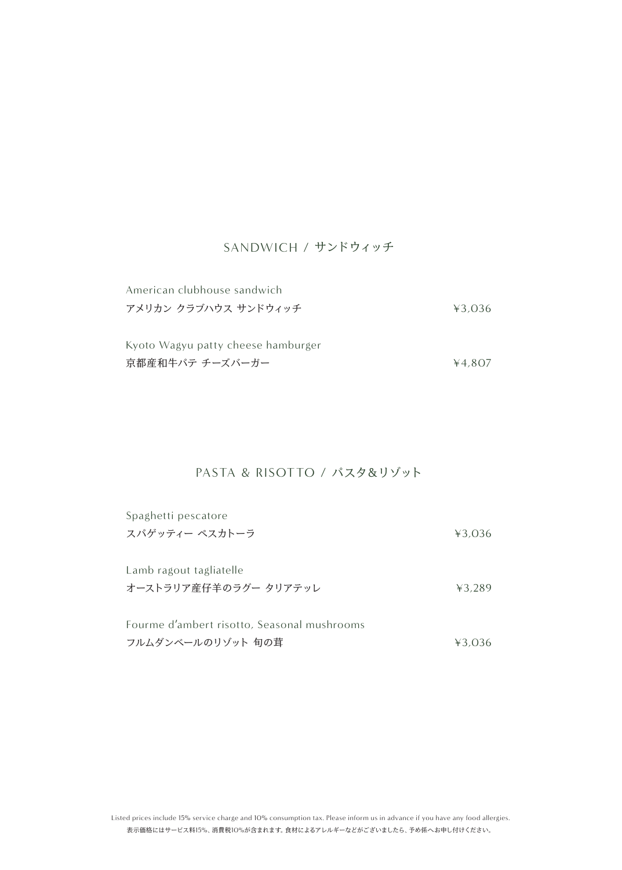#### SANDWICH / サンドウィッチ

| American clubhouse sandwich        |        |
|------------------------------------|--------|
| アメリカン クラブハウス サンドウィッチ               | 43.036 |
| Kyoto Wagyu patty cheese hamburger |        |
|                                    |        |
| 京都産和牛パテ チーズバーガー                    | 4.807  |

## PASTA & RISOTTO / パスタ&リゾット

| Spaghetti pescatore                         |        |
|---------------------------------------------|--------|
| スパゲッティー ペスカトーラ                              | 43.036 |
|                                             |        |
| Lamb ragout tagliatelle                     |        |
| オーストラリア産仔羊のラグー タリアテッレ                       | 43.289 |
|                                             |        |
| Fourme d'ambert risotto, Seasonal mushrooms |        |
| フルムダンベールのリゾット 旬の茸                           | ¥3.036 |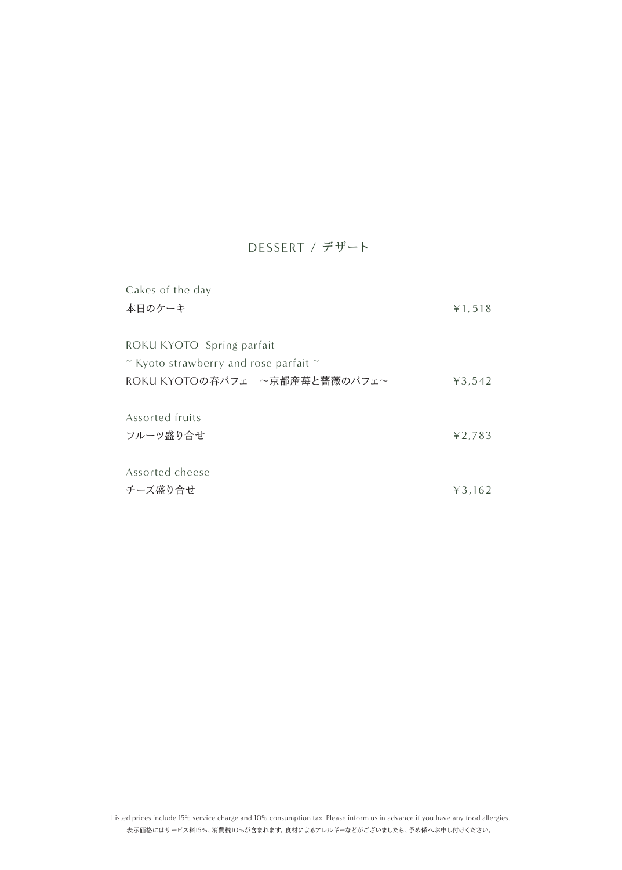## DESSERT / デザート

| Cakes of the day                                                              |        |
|-------------------------------------------------------------------------------|--------|
| 本日のケーキ                                                                        | ¥1,518 |
|                                                                               |        |
| ROKU KYOTO Spring parfait                                                     |        |
| $\tilde{\phantom{a}}$ Kyoto strawberry and rose parfait $\tilde{\phantom{a}}$ |        |
| ROKU KYOTOの春パフェ ~京都産苺と薔薇のパフェ~                                                 | 43,542 |
|                                                                               |        |
| Assorted fruits                                                               |        |
| フルーツ盛り合せ                                                                      | 42,783 |
|                                                                               |        |
| Assorted cheese                                                               |        |
| チーズ盛り合せ                                                                       | 43.162 |